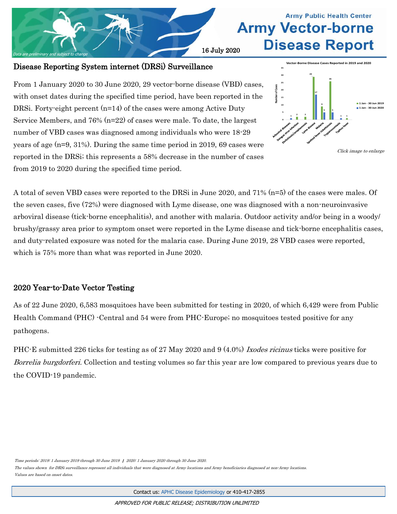

# **Army Public Health Center Army Vector-borne Disease Report**

### Disease Reporting System internet (DRSi) Surveillance

From 1 January 2020 to 30 June 2020, 29 vector-borne disease (VBD) cases, with onset dates during the specified time period, have been reported in the DRSi. Forty-eight percent (n=14) of the cases were among Active Duty Service Members, and 76% (n=22) of cases were male. To date, the largest number of VBD cases was diagnosed among individuals who were 18-29 years of age (n=9, 31%). During the same time period in 2019, 69 cases were reported in the DRSi; this represents a 58% decrease in the number of cases from 2019 to 2020 during the specified time period.





A total of seven VBD cases were reported to the DRSi in June 2020, and 71% (n=5) of the cases were males. Of the seven cases, five (72%) were diagnosed with Lyme disease, one was diagnosed with a non-neuroinvasive arboviral disease (tick-borne encephalitis), and another with malaria. Outdoor activity and/or being in a woody/ brushy/grassy area prior to symptom onset were reported in the Lyme disease and tick-borne encephalitis cases, and duty-related exposure was noted for the malaria case. During June 2019, 28 VBD cases were reported, which is 75% more than what was reported in June 2020.

## 2020 Year-to-Date Vector Testing

As of 22 June 2020, 6,583 mosquitoes have been submitted for testing in 2020, of which 6,429 were from Public Health Command (PHC) -Central and 54 were from PHC-Europe; no mosquitoes tested positive for any pathogens.

PHC-E submitted 226 ticks for testing as of 27 May 2020 and 9 (4.0%) Ixodes ricinus ticks were positive for Borrelia burgdorferi. Collection and testing volumes so far this year are low compared to previous years due to the COVID-19 pandemic.

Time periods: 2019: 1 January 2019 through 30 June 2019 | 2020: 1 January 2020 through 30 June 2020.

The values shown for DRSi surveillance represent all individuals that were diagnosed at Army locations and Army beneficiaries diagnosed at non-Army locations. Values are based on onset dates.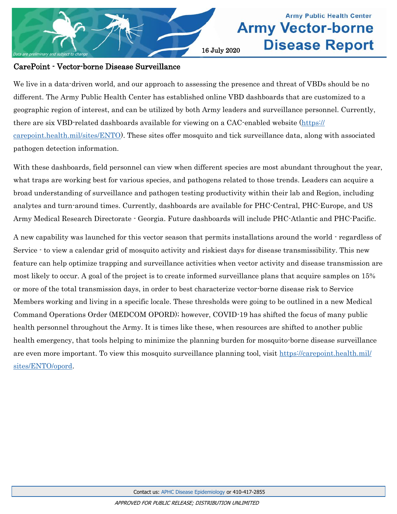

## **Army Public Health Center Army Vector-borne Disease Report**

#### CarePoint - Vector-borne Disease Surveillance

We live in a data-driven world, and our approach to assessing the presence and threat of VBDs should be no different. The Army Public Health Center has established online VBD dashboards that are customized to a geographic region of interest, and can be utilized by both Army leaders and surveillance personnel. Currently, there are six VBD-related dashboards available for viewing on a CAC-enabled website [\(https://](https://carepoint.health.mil/sites/ENTO) [carepoint.health.mil/sites/ENTO\).](https://carepoint.health.mil/sites/ENTO) These sites offer mosquito and tick surveillance data, along with associated pathogen detection information.

With these dashboards, field personnel can view when different species are most abundant throughout the year, what traps are working best for various species, and pathogens related to those trends. Leaders can acquire a broad understanding of surveillance and pathogen testing productivity within their lab and Region, including analytes and turn-around times. Currently, dashboards are available for PHC-Central, PHC-Europe, and US Army Medical Research Directorate - Georgia. Future dashboards will include PHC-Atlantic and PHC-Pacific.

A new capability was launched for this vector season that permits installations around the world - regardless of Service - to view a calendar grid of mosquito activity and riskiest days for disease transmissibility. This new feature can help optimize trapping and surveillance activities when vector activity and disease transmission are most likely to occur. A goal of the project is to create informed surveillance plans that acquire samples on 15% or more of the total transmission days, in order to best characterize vector-borne disease risk to Service Members working and living in a specific locale. These thresholds were going to be outlined in a new Medical Command Operations Order (MEDCOM OPORD); however, COVID-19 has shifted the focus of many public health personnel throughout the Army. It is times like these, when resources are shifted to another public health emergency, that tools helping to minimize the planning burden for mosquito-borne disease surveillance are even more important. To view this mosquito surveillance planning tool, visit [https://carepoint.health.mil/](https://carepoint.health.mil/sites/ENTO/opord) [sites/ENTO/opord.](https://carepoint.health.mil/sites/ENTO/opord)